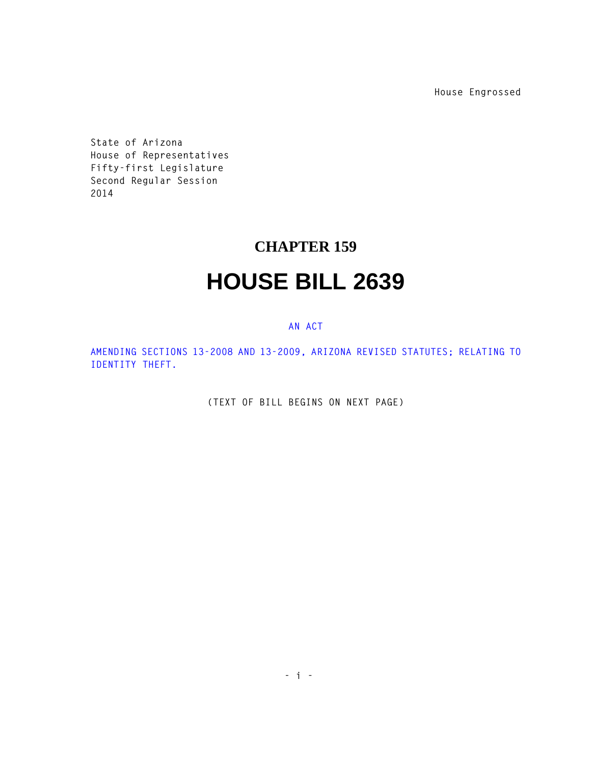**House Engrossed**

**State of Arizona House of Representatives Fifty-first Legislature Second Regular Session 2014** 

## **CHAPTER 159**

## **HOUSE BILL 2639**

## **AN ACT**

**AMENDING SECTIONS 13-2008 AND 13-2009, ARIZONA REVISED STATUTES; RELATING TO IDENTITY THEFT.** 

**(TEXT OF BILL BEGINS ON NEXT PAGE)**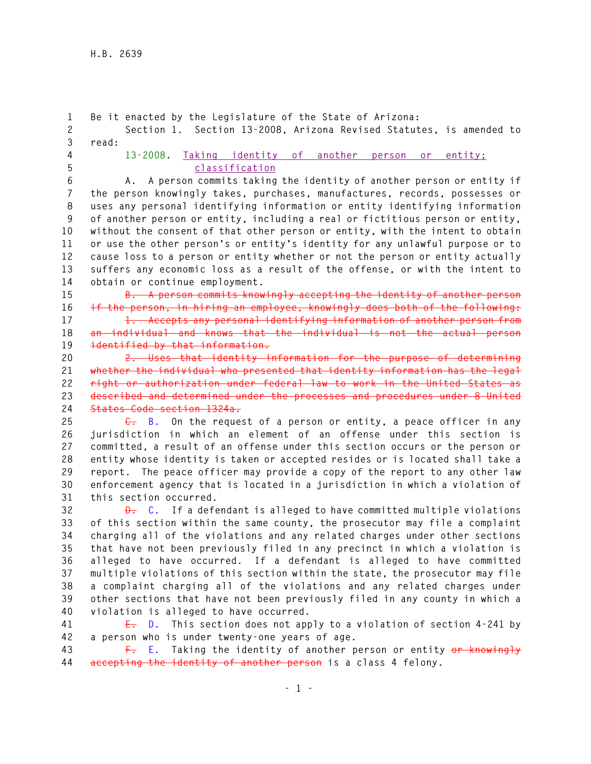**1 Be it enacted by the Legislature of the State of Arizona: 2 Section 1. Section 13-2008, Arizona Revised Statutes, is amended to 3 read: 4 13-2008. Taking identity of another person or entity; 5 classification 6 A. A person commits taking the identity of another person or entity if** 

**7 the person knowingly takes, purchases, manufactures, records, possesses or 8 uses any personal identifying information or entity identifying information 9 of another person or entity, including a real or fictitious person or entity, 10 without the consent of that other person or entity, with the intent to obtain 11 or use the other person's or entity's identity for any unlawful purpose or to 12 cause loss to a person or entity whether or not the person or entity actually 13 suffers any economic loss as a result of the offense, or with the intent to 14 obtain or continue employment.** 

**15 B. A person commits knowingly accepting the identity of another person 16 if the person, in hiring an employee, knowingly does both of the following:** 

**17 1. Accepts any personal identifying information of another person from 18 an individual and knows that the individual is not the actual person 19 identified by that information.** 

**20 2. Uses that identity information for the purpose of determining 21 whether the individual who presented that identity information has the legal 22 right or authorization under federal law to work in the United States as 23 described and determined under the processes and procedures under 8 United 24 States Code section 1324a.** 

**25 C. B. On the request of a person or entity, a peace officer in any 26 jurisdiction in which an element of an offense under this section is 27 committed, a result of an offense under this section occurs or the person or 28 entity whose identity is taken or accepted resides or is located shall take a 29 report. The peace officer may provide a copy of the report to any other law 30 enforcement agency that is located in a jurisdiction in which a violation of 31 this section occurred.** 

**32 D. C. If a defendant is alleged to have committed multiple violations 33 of this section within the same county, the prosecutor may file a complaint 34 charging all of the violations and any related charges under other sections 35 that have not been previously filed in any precinct in which a violation is 36 alleged to have occurred. If a defendant is alleged to have committed 37 multiple violations of this section within the state, the prosecutor may file 38 a complaint charging all of the violations and any related charges under 39 other sections that have not been previously filed in any county in which a 40 violation is alleged to have occurred.** 

**41 E. D. This section does not apply to a violation of section 4-241 by 42 a person who is under twenty-one years of age.** 

**43 F. E. Taking the identity of another person or entity or knowingly 44 accepting the identity of another person is a class 4 felony.**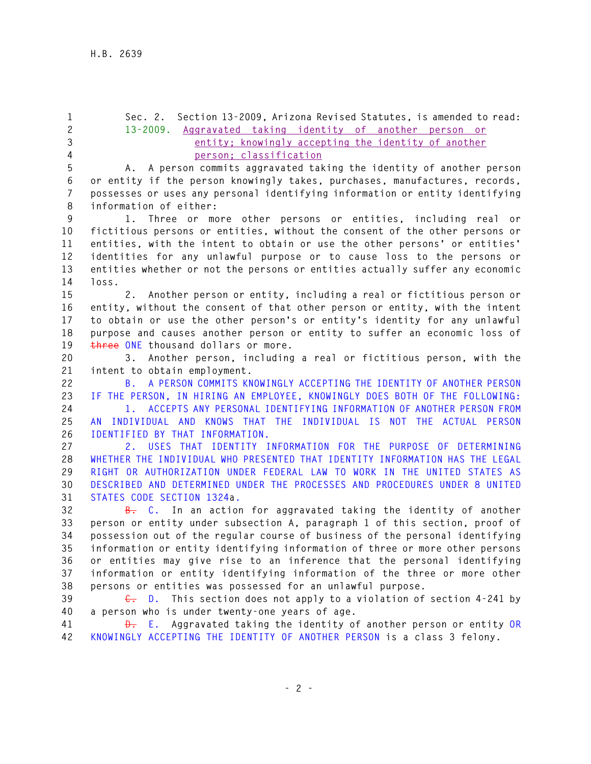**1 Sec. 2. Section 13-2009, Arizona Revised Statutes, is amended to read: 2 13-2009. Aggravated taking identity of another person or 3 entity; knowingly accepting the identity of another 4 person; classification 5 A. A person commits aggravated taking the identity of another person 6 or entity if the person knowingly takes, purchases, manufactures, records, 7 possesses or uses any personal identifying information or entity identifying 8 information of either: 9 1. Three or more other persons or entities, including real or 10 fictitious persons or entities, without the consent of the other persons or 11 entities, with the intent to obtain or use the other persons' or entities' 12 identities for any unlawful purpose or to cause loss to the persons or 13 entities whether or not the persons or entities actually suffer any economic 14 loss. 15 2. Another person or entity, including a real or fictitious person or 16 entity, without the consent of that other person or entity, with the intent 17 to obtain or use the other person's or entity's identity for any unlawful 18 purpose and causes another person or entity to suffer an economic loss of 19 three ONE thousand dollars or more. 20 3. Another person, including a real or fictitious person, with the 21 intent to obtain employment. 22 B. A PERSON COMMITS KNOWINGLY ACCEPTING THE IDENTITY OF ANOTHER PERSON 23 IF THE PERSON, IN HIRING AN EMPLOYEE, KNOWINGLY DOES BOTH OF THE FOLLOWING: 24 1. ACCEPTS ANY PERSONAL IDENTIFYING INFORMATION OF ANOTHER PERSON FROM 25 AN INDIVIDUAL AND KNOWS THAT THE INDIVIDUAL IS NOT THE ACTUAL PERSON 26 IDENTIFIED BY THAT INFORMATION. 27 2. USES THAT IDENTITY INFORMATION FOR THE PURPOSE OF DETERMINING 28 WHETHER THE INDIVIDUAL WHO PRESENTED THAT IDENTITY INFORMATION HAS THE LEGAL 29 RIGHT OR AUTHORIZATION UNDER FEDERAL LAW TO WORK IN THE UNITED STATES AS 30 DESCRIBED AND DETERMINED UNDER THE PROCESSES AND PROCEDURES UNDER 8 UNITED 31 STATES CODE SECTION 1324a. 32 B. C. In an action for aggravated taking the identity of another 33 person or entity under subsection A, paragraph 1 of this section, proof of 34 possession out of the regular course of business of the personal identifying 35 information or entity identifying information of three or more other persons 36 or entities may give rise to an inference that the personal identifying 37 information or entity identifying information of the three or more other 38 persons or entities was possessed for an unlawful purpose. 39 C. D. This section does not apply to a violation of section 4-241 by 40 a person who is under twenty-one years of age.** 

**41 D. E. Aggravated taking the identity of another person or entity OR 42 KNOWINGLY ACCEPTING THE IDENTITY OF ANOTHER PERSON is a class 3 felony.**